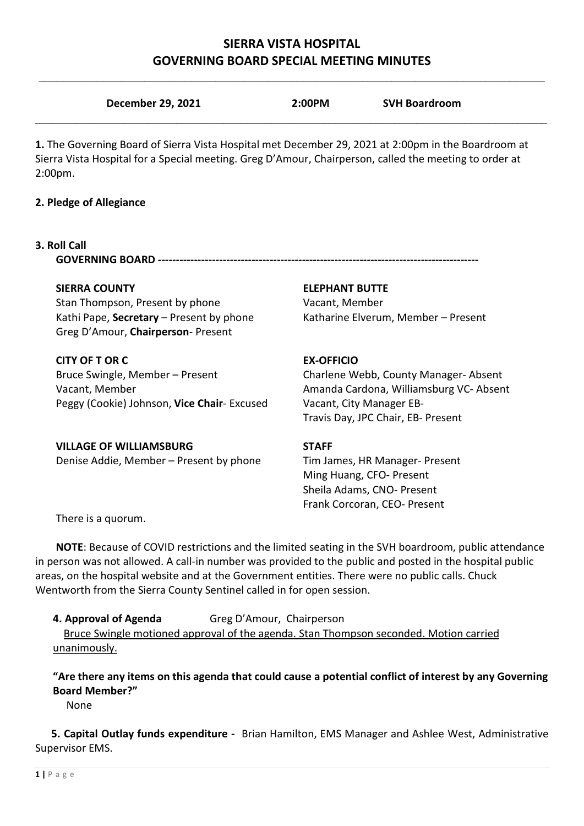# **SIERRA VISTA HOSPITAL GOVERNING BOARD SPECIAL MEETING MINUTES**

|       | December 29, 2021 | 2:00PM                                                                                                                                                                                                                        | <b>SVH Boardroom</b> |  |
|-------|-------------------|-------------------------------------------------------------------------------------------------------------------------------------------------------------------------------------------------------------------------------|----------------------|--|
| - - - |                   | . The contract of the contract of the contract of the contract of the contract of the contract of the contract of the contract of the contract of the contract of the contract of the contract of the contract of the contrac |                      |  |

**1.** The Governing Board of Sierra Vista Hospital met December 29, 2021 at 2:00pm in the Boardroom at Sierra Vista Hospital for a Special meeting. Greg D'Amour, Chairperson, called the meeting to order at 2:00pm.

## **2. Pledge of Allegiance**

### **3. Roll Call**

**GOVERNING BOARD ----------------------**

Stan Thompson, Present by phone Vacant, Member Kathi Pape, **Secretary** – Present by phone Katharine Elverum, Member – Present Greg D'Amour, **Chairperson**- Present

# **CITY OF T OR C** EX-OFFICIO

Bruce Swingle, Member – Present Charlene Webb, County Manager- Absent Vacant, Member Amanda Cardona, Williamsburg VC- Absent Peggy (Cookie) Johnson, **Vice Chair**- Excused Vacant, City Manager EB-

### **SIERRA COUNTY ELEPHANT BUTTE**

Travis Day, JPC Chair, EB- Present

# **VILLAGE OF WILLIAMSBURG STAFF**

Denise Addie, Member – Present by phone Tim James, HR Manager- Present Ming Huang, CFO- Present Sheila Adams, CNO- PresentFrank Corcoran, CEO- Present

There is a quorum.

**NOTE**: Because of COVID restrictions and the limited seating in the SVH boardroom, public attendance in person was not allowed. A call-in number was provided to the public and posted in the hospital public areas, on the hospital website and at the Government entities. There were no public calls. Chuck Wentworth from the Sierra County Sentinel called in for open session.

**4. Approval of Agenda** Greg D'Amour, Chairperson Bruce Swingle motioned approval of the agenda. Stan Thompson seconded. Motion carried unanimously.

**"Are there any items on this agenda that could cause a potential conflict of interest by any Governing Board Member?"**

None

 **5. Capital Outlay funds expenditure -** Brian Hamilton, EMS Manager and Ashlee West, Administrative Supervisor EMS.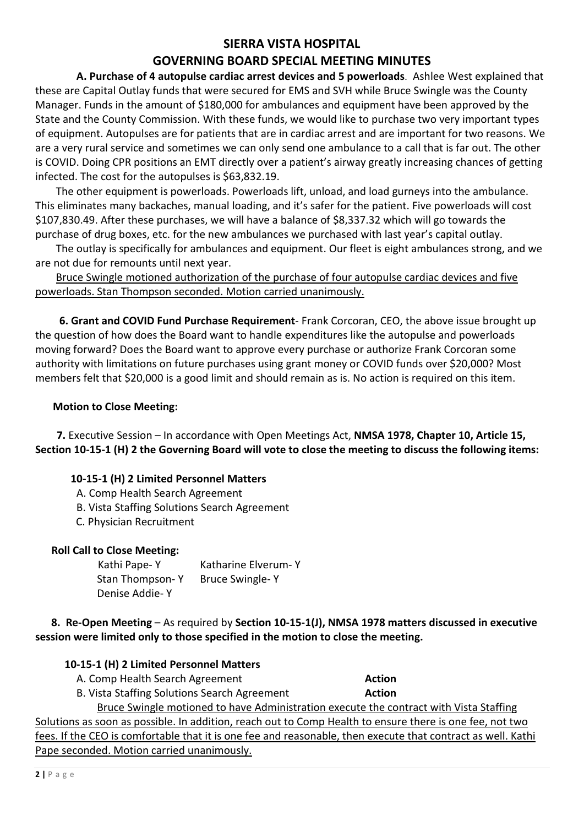# **SIERRA VISTA HOSPITAL**

# **GOVERNING BOARD SPECIAL MEETING MINUTES**

 **A. Purchase of 4 autopulse cardiac arrest devices and 5 powerloads**. Ashlee West explained that these are Capital Outlay funds that were secured for EMS and SVH while Bruce Swingle was the County Manager. Funds in the amount of \$180,000 for ambulances and equipment have been approved by the State and the County Commission. With these funds, we would like to purchase two very important types of equipment. Autopulses are for patients that are in cardiac arrest and are important for two reasons. We are a very rural service and sometimes we can only send one ambulance to a call that is far out. The other is COVID. Doing CPR positions an EMT directly over a patient's airway greatly increasing chances of getting infected. The cost for the autopulses is \$63,832.19.

The other equipment is powerloads. Powerloads lift, unload, and load gurneys into the ambulance. This eliminates many backaches, manual loading, and it's safer for the patient. Five powerloads will cost \$107,830.49. After these purchases, we will have a balance of \$8,337.32 which will go towards the purchase of drug boxes, etc. for the new ambulances we purchased with last year's capital outlay.

The outlay is specifically for ambulances and equipment. Our fleet is eight ambulances strong, and we are not due for remounts until next year.

Bruce Swingle motioned authorization of the purchase of four autopulse cardiac devices and five powerloads. Stan Thompson seconded. Motion carried unanimously.

 **6. Grant and COVID Fund Purchase Requirement**- Frank Corcoran, CEO, the above issue brought up the question of how does the Board want to handle expenditures like the autopulse and powerloads moving forward? Does the Board want to approve every purchase or authorize Frank Corcoran some authority with limitations on future purchases using grant money or COVID funds over \$20,000? Most members felt that \$20,000 is a good limit and should remain as is. No action is required on this item.

### **Motion to Close Meeting:**

 **7.** Executive Session – In accordance with Open Meetings Act, **NMSA 1978, Chapter 10, Article 15, Section 10-15-1 (H) 2 the Governing Board will vote to close the meeting to discuss the following items:**

# **10-15-1 (H) 2 Limited Personnel Matters**

- A. Comp Health Search Agreement
- B. Vista Staffing Solutions Search Agreement
- C. Physician Recruitment

#### **Roll Call to Close Meeting:**

 Kathi Pape- Y Katharine Elverum- Y Stan Thompson- Y Bruce Swingle- Y Denise Addie- Y

 **8. Re-Open Meeting** – As required by **Section 10-15-1(J), NMSA 1978 matters discussed in executive session were limited only to those specified in the motion to close the meeting.**

# **10-15-1 (H) 2 Limited Personnel Matters**

**A. Comp Health Search Agreement <b>Action** Action

B. Vista Staffing Solutions Search Agreement **Action**

Bruce Swingle motioned to have Administration execute the contract with Vista Staffing Solutions as soon as possible. In addition, reach out to Comp Health to ensure there is one fee, not two fees. If the CEO is comfortable that it is one fee and reasonable, then execute that contract as well. Kathi Pape seconded. Motion carried unanimously.